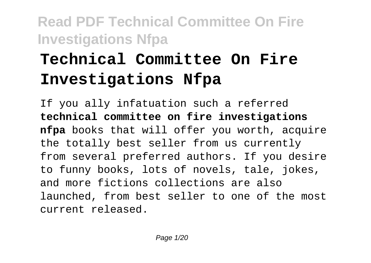# **Technical Committee On Fire Investigations Nfpa**

If you ally infatuation such a referred **technical committee on fire investigations nfpa** books that will offer you worth, acquire the totally best seller from us currently from several preferred authors. If you desire to funny books, lots of novels, tale, jokes, and more fictions collections are also launched, from best seller to one of the most current released.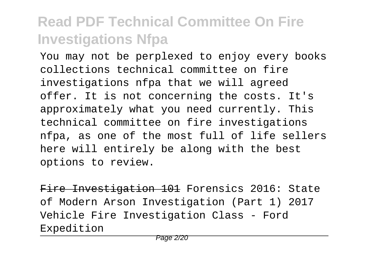You may not be perplexed to enjoy every books collections technical committee on fire investigations nfpa that we will agreed offer. It is not concerning the costs. It's approximately what you need currently. This technical committee on fire investigations nfpa, as one of the most full of life sellers here will entirely be along with the best options to review.

Fire Investigation 101 Forensics 2016: State of Modern Arson Investigation (Part 1) 2017 Vehicle Fire Investigation Class - Ford Expedition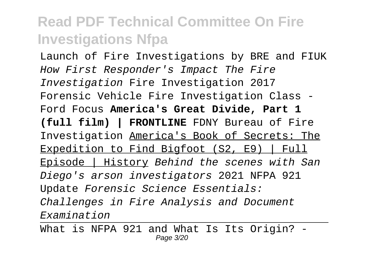Launch of Fire Investigations by BRE and FIUK How First Responder's Impact The Fire Investigation Fire Investigation 2017 Forensic Vehicle Fire Investigation Class - Ford Focus **America's Great Divide, Part 1 (full film) | FRONTLINE** FDNY Bureau of Fire Investigation America's Book of Secrets: The Expedition to Find Bigfoot (S2, E9) | Full Episode | History Behind the scenes with San Diego's arson investigators 2021 NFPA 921 Update Forensic Science Essentials: Challenges in Fire Analysis and Document Examination

What is NFPA 921 and What Is Its Origin? -Page 3/20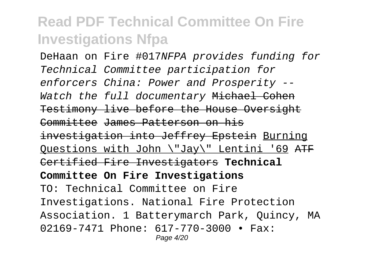DeHaan on Fire #017NFPA provides funding for Technical Committee participation for enforcers China: Power and Prosperity -- Watch the full documentary Michael Cohen Testimony live before the House Oversight Committee James Patterson on his investigation into Jeffrey Epstein Burning Ouestions with John \"Jay\" Lentini '69  $\overline{ATF}$ Certified Fire Investigators **Technical Committee On Fire Investigations** TO: Technical Committee on Fire Investigations. National Fire Protection Association. 1 Batterymarch Park, Quincy, MA 02169-7471 Phone: 617-770-3000 • Fax: Page 4/20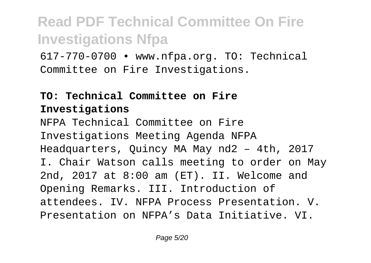617-770-0700 • www.nfpa.org. TO: Technical Committee on Fire Investigations.

### **TO: Technical Committee on Fire Investigations**

NFPA Technical Committee on Fire Investigations Meeting Agenda NFPA Headquarters, Quincy MA May nd2 – 4th, 2017 I. Chair Watson calls meeting to order on May 2nd, 2017 at 8:00 am (ET). II. Welcome and Opening Remarks. III. Introduction of attendees. IV. NFPA Process Presentation. V. Presentation on NFPA's Data Initiative. VI.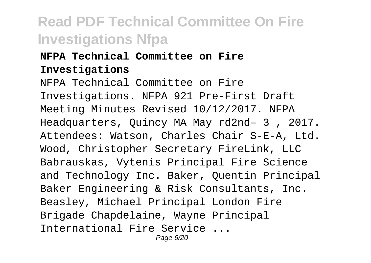### **NFPA Technical Committee on Fire Investigations**

NFPA Technical Committee on Fire Investigations. NFPA 921 Pre-First Draft Meeting Minutes Revised 10/12/2017. NFPA Headquarters, Quincy MA May rd2nd– 3 , 2017. Attendees: Watson, Charles Chair S-E-A, Ltd. Wood, Christopher Secretary FireLink, LLC Babrauskas, Vytenis Principal Fire Science and Technology Inc. Baker, Quentin Principal Baker Engineering & Risk Consultants, Inc. Beasley, Michael Principal London Fire Brigade Chapdelaine, Wayne Principal International Fire Service ... Page 6/20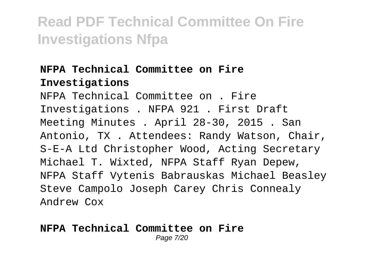#### **NFPA Technical Committee on Fire Investigations**

NFPA Technical Committee on . Fire Investigations . NFPA 921 . First Draft Meeting Minutes . April 28-30, 2015 . San Antonio, TX . Attendees: Randy Watson, Chair, S-E-A Ltd Christopher Wood, Acting Secretary Michael T. Wixted, NFPA Staff Ryan Depew, NFPA Staff Vytenis Babrauskas Michael Beasley Steve Campolo Joseph Carey Chris Connealy Andrew Cox

#### **NFPA Technical Committee on Fire** Page 7/20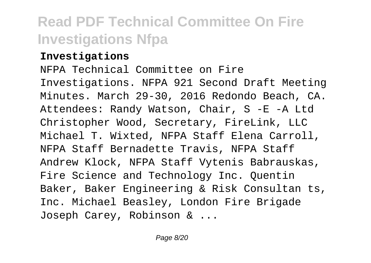#### **Investigations**

NFPA Technical Committee on Fire Investigations. NFPA 921 Second Draft Meeting Minutes. March 29-30, 2016 Redondo Beach, CA. Attendees: Randy Watson, Chair, S -E -A Ltd Christopher Wood, Secretary, FireLink, LLC Michael T. Wixted, NFPA Staff Elena Carroll, NFPA Staff Bernadette Travis, NFPA Staff Andrew Klock, NFPA Staff Vytenis Babrauskas, Fire Science and Technology Inc. Quentin Baker, Baker Engineering & Risk Consultan ts, Inc. Michael Beasley, London Fire Brigade Joseph Carey, Robinson & ...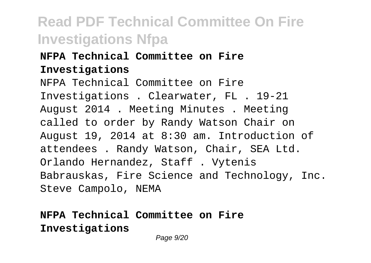### **NFPA Technical Committee on Fire Investigations**

NFPA Technical Committee on Fire Investigations . Clearwater, FL . 19-21 August 2014 . Meeting Minutes . Meeting called to order by Randy Watson Chair on August 19, 2014 at 8:30 am. Introduction of attendees . Randy Watson, Chair, SEA Ltd. Orlando Hernandez, Staff . Vytenis Babrauskas, Fire Science and Technology, Inc. Steve Campolo, NEMA

### **NFPA Technical Committee on Fire Investigations**

Page 9/20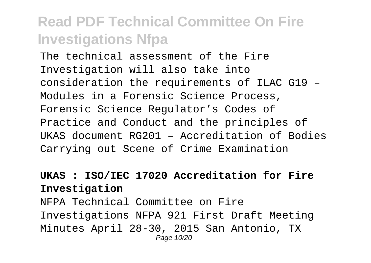The technical assessment of the Fire Investigation will also take into consideration the requirements of ILAC G19 – Modules in a Forensic Science Process, Forensic Science Regulator's Codes of Practice and Conduct and the principles of UKAS document RG201 – Accreditation of Bodies Carrying out Scene of Crime Examination

#### **UKAS : ISO/IEC 17020 Accreditation for Fire Investigation**

NFPA Technical Committee on Fire Investigations NFPA 921 First Draft Meeting Minutes April 28-30, 2015 San Antonio, TX Page 10/20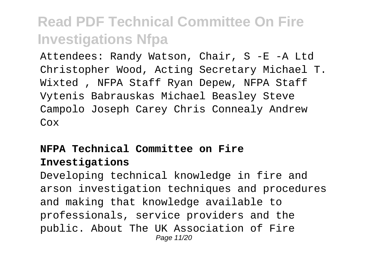Attendees: Randy Watson, Chair, S -E -A Ltd Christopher Wood, Acting Secretary Michael T. Wixted , NFPA Staff Ryan Depew, NFPA Staff Vytenis Babrauskas Michael Beasley Steve Campolo Joseph Carey Chris Connealy Andrew Cox

### **NFPA Technical Committee on Fire Investigations**

Developing technical knowledge in fire and arson investigation techniques and procedures and making that knowledge available to professionals, service providers and the public. About The UK Association of Fire Page 11/20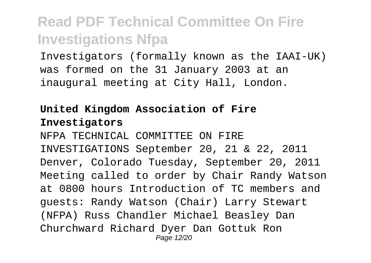Investigators (formally known as the IAAI-UK) was formed on the 31 January 2003 at an inaugural meeting at City Hall, London.

### **United Kingdom Association of Fire Investigators**

NFPA TECHNICAL COMMITTEE ON FIRE INVESTIGATIONS September 20, 21 & 22, 2011 Denver, Colorado Tuesday, September 20, 2011 Meeting called to order by Chair Randy Watson at 0800 hours Introduction of TC members and guests: Randy Watson (Chair) Larry Stewart (NFPA) Russ Chandler Michael Beasley Dan Churchward Richard Dyer Dan Gottuk Ron Page 12/20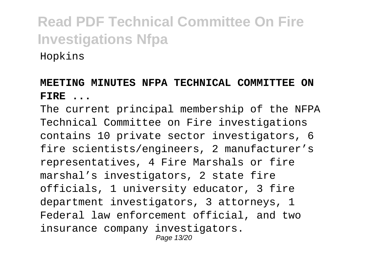Hopkins

### **MEETING MINUTES NFPA TECHNICAL COMMITTEE ON FIRE ...**

The current principal membership of the NFPA Technical Committee on Fire investigations contains 10 private sector investigators, 6 fire scientists/engineers, 2 manufacturer's representatives, 4 Fire Marshals or fire marshal's investigators, 2 state fire officials, 1 university educator, 3 fire department investigators, 3 attorneys, 1 Federal law enforcement official, and two insurance company investigators. Page 13/20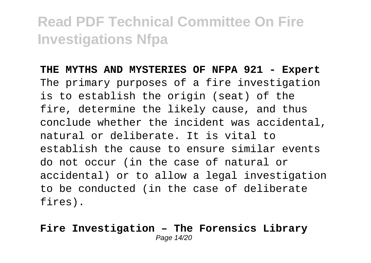**THE MYTHS AND MYSTERIES OF NFPA 921 - Expert** The primary purposes of a fire investigation is to establish the origin (seat) of the fire, determine the likely cause, and thus conclude whether the incident was accidental, natural or deliberate. It is vital to establish the cause to ensure similar events do not occur (in the case of natural or accidental) or to allow a legal investigation to be conducted (in the case of deliberate fires).

#### **Fire Investigation – The Forensics Library** Page 14/20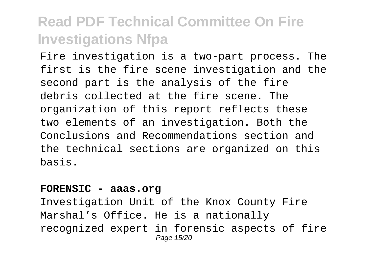Fire investigation is a two-part process. The first is the fire scene investigation and the second part is the analysis of the fire debris collected at the fire scene. The organization of this report reflects these two elements of an investigation. Both the Conclusions and Recommendations section and the technical sections are organized on this basis.

#### **FORENSIC - aaas.org**

Investigation Unit of the Knox County Fire Marshal's Office. He is a nationally recognized expert in forensic aspects of fire Page 15/20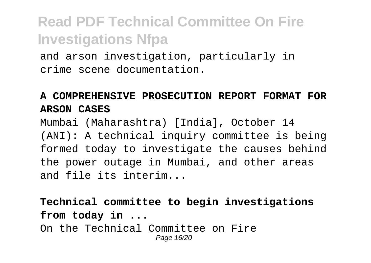and arson investigation, particularly in crime scene documentation.

### **A COMPREHENSIVE PROSECUTION REPORT FORMAT FOR ARSON CASES**

Mumbai (Maharashtra) [India], October 14 (ANI): A technical inquiry committee is being formed today to investigate the causes behind the power outage in Mumbai, and other areas and file its interim...

**Technical committee to begin investigations from today in ...**

On the Technical Committee on Fire Page 16/20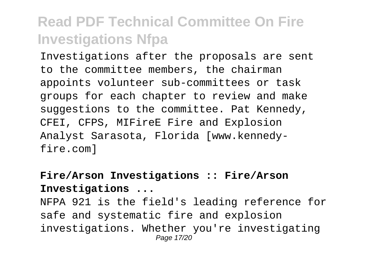Investigations after the proposals are sent to the committee members, the chairman appoints volunteer sub-committees or task groups for each chapter to review and make suggestions to the committee. Pat Kennedy, CFEI, CFPS, MIFireE Fire and Explosion Analyst Sarasota, Florida [www.kennedyfire.com]

#### **Fire/Arson Investigations :: Fire/Arson Investigations ...**

NFPA 921 is the field's leading reference for safe and systematic fire and explosion investigations. Whether you're investigating Page 17/20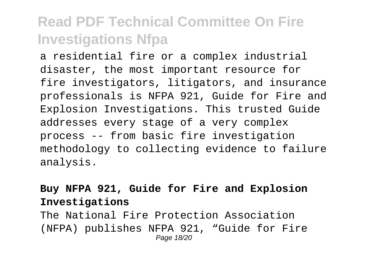a residential fire or a complex industrial disaster, the most important resource for fire investigators, litigators, and insurance professionals is NFPA 921, Guide for Fire and Explosion Investigations. This trusted Guide addresses every stage of a very complex process -- from basic fire investigation methodology to collecting evidence to failure analysis.

### **Buy NFPA 921, Guide for Fire and Explosion Investigations**

The National Fire Protection Association (NFPA) publishes NFPA 921, "Guide for Fire Page 18/20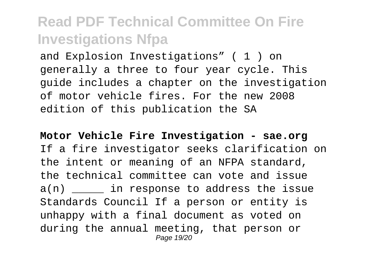and Explosion Investigations" ( 1 ) on generally a three to four year cycle. This guide includes a chapter on the investigation of motor vehicle fires. For the new 2008 edition of this publication the SA

**Motor Vehicle Fire Investigation - sae.org** If a fire investigator seeks clarification on the intent or meaning of an NFPA standard, the technical committee can vote and issue a(n) \_\_\_\_\_\_\_\_ in response to address the issue Standards Council If a person or entity is unhappy with a final document as voted on during the annual meeting, that person or Page 19/20